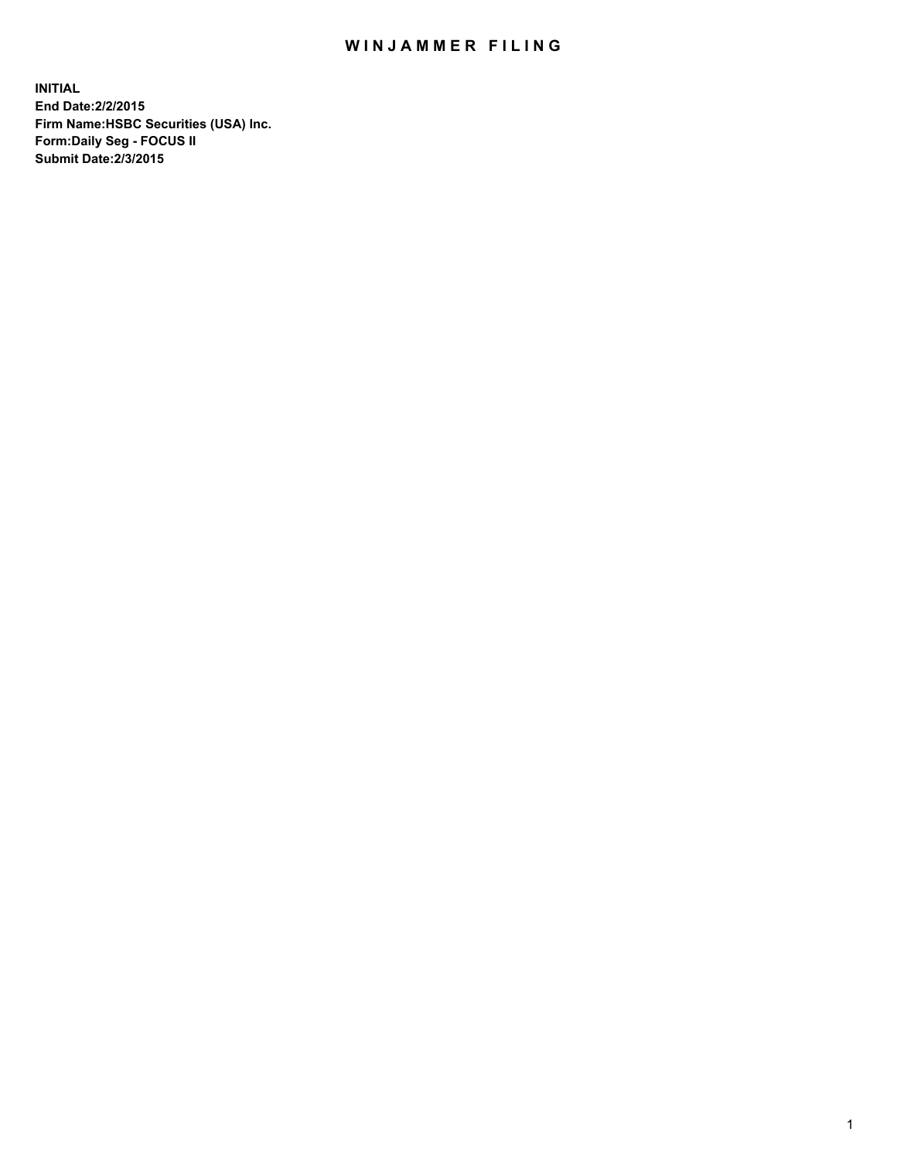## WIN JAMMER FILING

**INITIAL End Date:2/2/2015 Firm Name:HSBC Securities (USA) Inc. Form:Daily Seg - FOCUS II Submit Date:2/3/2015**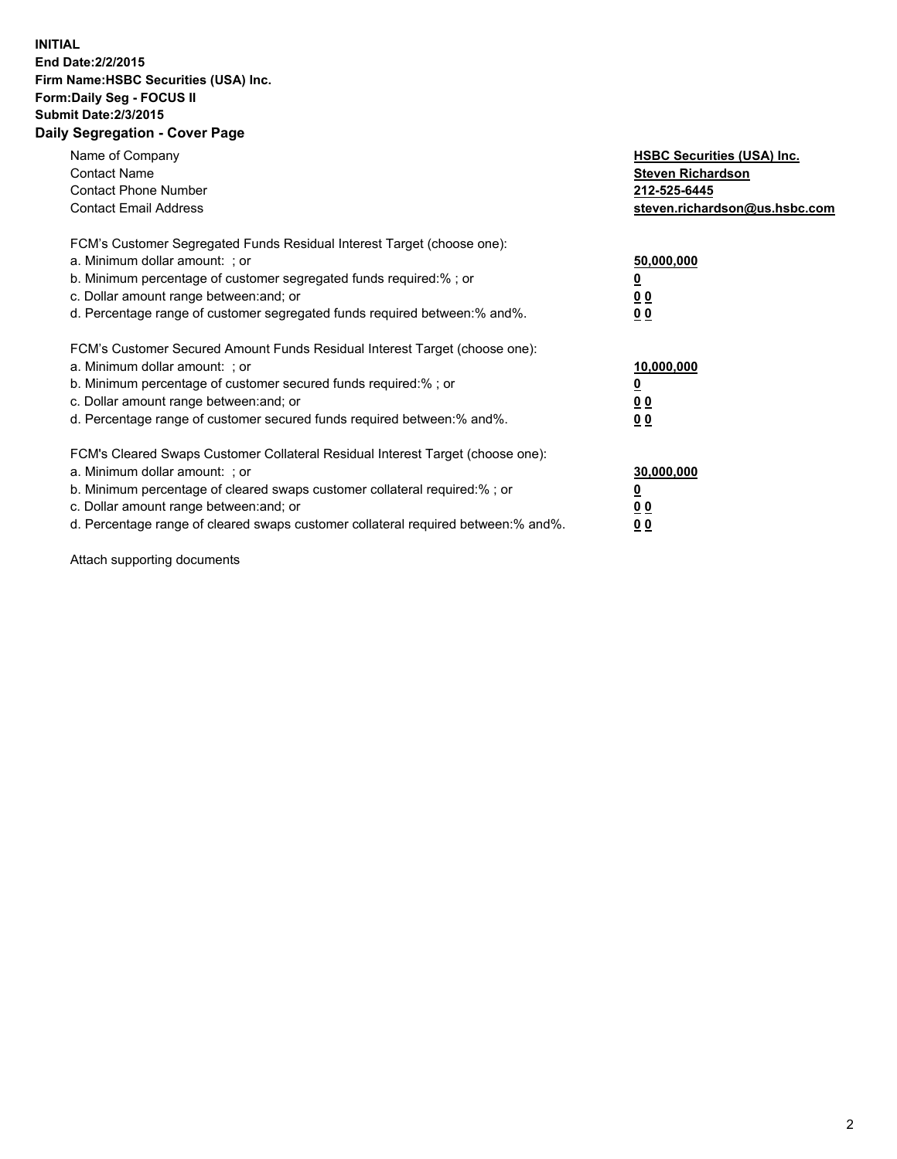## **INITIAL End Date:2/2/2015 Firm Name:HSBC Securities (USA) Inc. Form:Daily Seg - FOCUS II Submit Date:2/3/2015 Daily Segregation - Cover Page**

| Name of Company<br><b>Contact Name</b><br><b>Contact Phone Number</b><br><b>Contact Email Address</b>                                                                                                                                                                                                                          | <b>HSBC Securities (USA) Inc.</b><br><b>Steven Richardson</b><br>212-525-6445<br>steven.richardson@us.hsbc.com |
|--------------------------------------------------------------------------------------------------------------------------------------------------------------------------------------------------------------------------------------------------------------------------------------------------------------------------------|----------------------------------------------------------------------------------------------------------------|
| FCM's Customer Segregated Funds Residual Interest Target (choose one):<br>a. Minimum dollar amount: ; or<br>b. Minimum percentage of customer segregated funds required:%; or<br>c. Dollar amount range between: and; or<br>d. Percentage range of customer segregated funds required between:% and%.                          | 50,000,000<br>00<br>00                                                                                         |
| FCM's Customer Secured Amount Funds Residual Interest Target (choose one):<br>a. Minimum dollar amount: ; or<br>b. Minimum percentage of customer secured funds required:%; or<br>c. Dollar amount range between: and; or<br>d. Percentage range of customer secured funds required between:% and%.                            | 10,000,000<br>0 <sub>0</sub><br>00                                                                             |
| FCM's Cleared Swaps Customer Collateral Residual Interest Target (choose one):<br>a. Minimum dollar amount: ; or<br>b. Minimum percentage of cleared swaps customer collateral required:% ; or<br>c. Dollar amount range between: and; or<br>d. Percentage range of cleared swaps customer collateral required between:% and%. | 30,000,000<br><u>00</u><br><u>00</u>                                                                           |

Attach supporting documents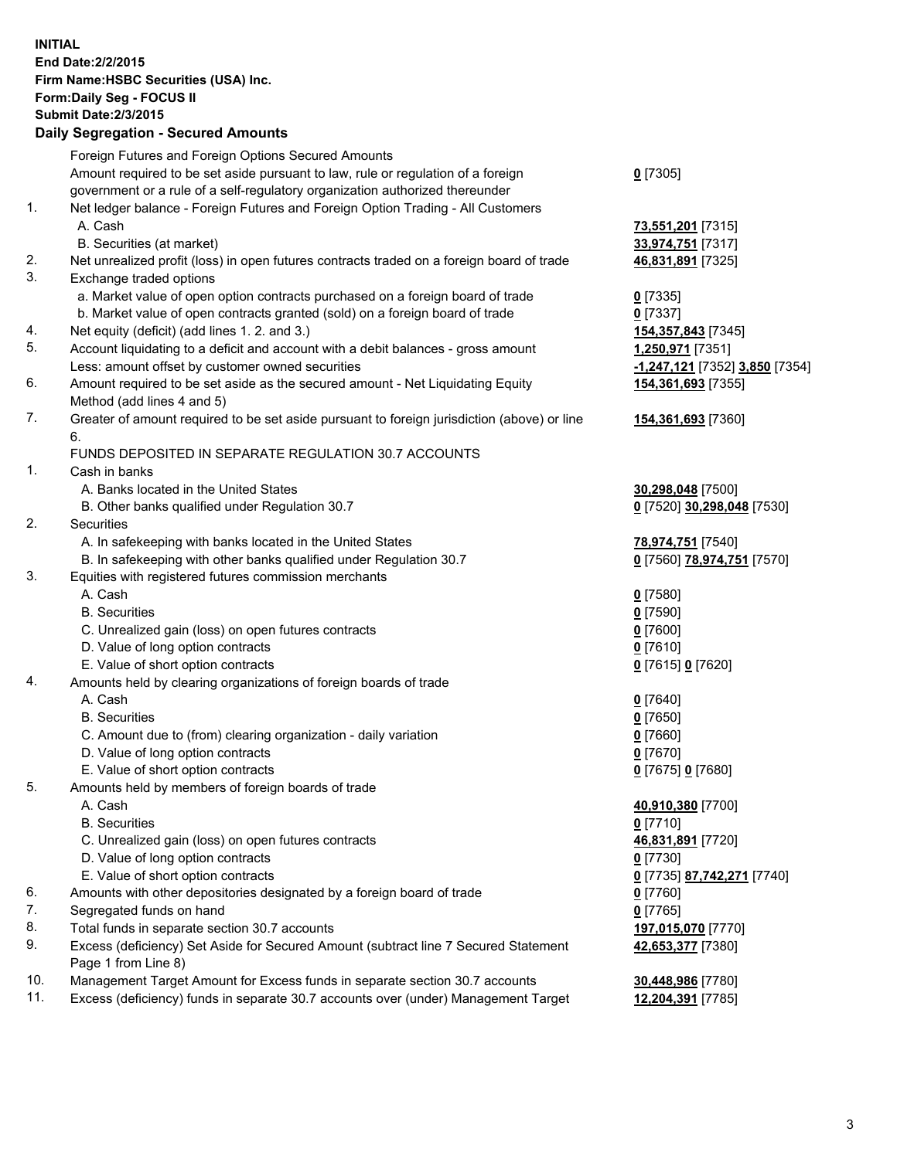**INITIAL End Date:2/2/2015 Firm Name:HSBC Securities (USA) Inc. Form:Daily Seg - FOCUS II Submit Date:2/3/2015 Daily Segregation - Secured Amounts** Foreign Futures and Foreign Options Secured Amounts Amount required to be set aside pursuant to law, rule or regulation of a foreign government or a rule of a self-regulatory organization authorized thereunder **0** [7305] 1. Net ledger balance - Foreign Futures and Foreign Option Trading - All Customers A. Cash **73,551,201** [7315] B. Securities (at market) **33,974,751** [7317] 2. Net unrealized profit (loss) in open futures contracts traded on a foreign board of trade **46,831,891** [7325] 3. Exchange traded options a. Market value of open option contracts purchased on a foreign board of trade **0** [7335] b. Market value of open contracts granted (sold) on a foreign board of trade **0** [7337] 4. Net equity (deficit) (add lines 1. 2. and 3.) **154,357,843** [7345] 5. Account liquidating to a deficit and account with a debit balances - gross amount **1,250,971** [7351] Less: amount offset by customer owned securities **-1,247,121** [7352] **3,850** [7354] 6. Amount required to be set aside as the secured amount - Net Liquidating Equity Method (add lines 4 and 5) **154,361,693** [7355] 7. Greater of amount required to be set aside pursuant to foreign jurisdiction (above) or line 6. **154,361,693** [7360] FUNDS DEPOSITED IN SEPARATE REGULATION 30.7 ACCOUNTS 1. Cash in banks A. Banks located in the United States **30,298,048** [7500] B. Other banks qualified under Regulation 30.7 **0** [7520] **30,298,048** [7530] 2. Securities A. In safekeeping with banks located in the United States **78,974,751** [7540] B. In safekeeping with other banks qualified under Regulation 30.7 **0** [7560] **78,974,751** [7570] 3. Equities with registered futures commission merchants A. Cash **0** [7580] B. Securities **0** [7590] C. Unrealized gain (loss) on open futures contracts **0** [7600] D. Value of long option contracts **0** [7610] E. Value of short option contracts **0** [7615] **0** [7620] 4. Amounts held by clearing organizations of foreign boards of trade A. Cash **0** [7640] B. Securities **0** [7650] C. Amount due to (from) clearing organization - daily variation **0** [7660] D. Value of long option contracts **0** [7670] E. Value of short option contracts **0** [7675] **0** [7680] 5. Amounts held by members of foreign boards of trade A. Cash **40,910,380** [7700] B. Securities **0** [7710] C. Unrealized gain (loss) on open futures contracts **46,831,891** [7720] D. Value of long option contracts **0** [7730] E. Value of short option contracts **0** [7735] **87,742,271** [7740] 6. Amounts with other depositories designated by a foreign board of trade **0** [7760] 7. Segregated funds on hand **0** [7765] 8. Total funds in separate section 30.7 accounts **197,015,070** [7770] 9. Excess (deficiency) Set Aside for Secured Amount (subtract line 7 Secured Statement Page 1 from Line 8) **42,653,377** [7380] 10. Management Target Amount for Excess funds in separate section 30.7 accounts **30,448,986** [7780] 11. Excess (deficiency) funds in separate 30.7 accounts over (under) Management Target **12,204,391** [7785]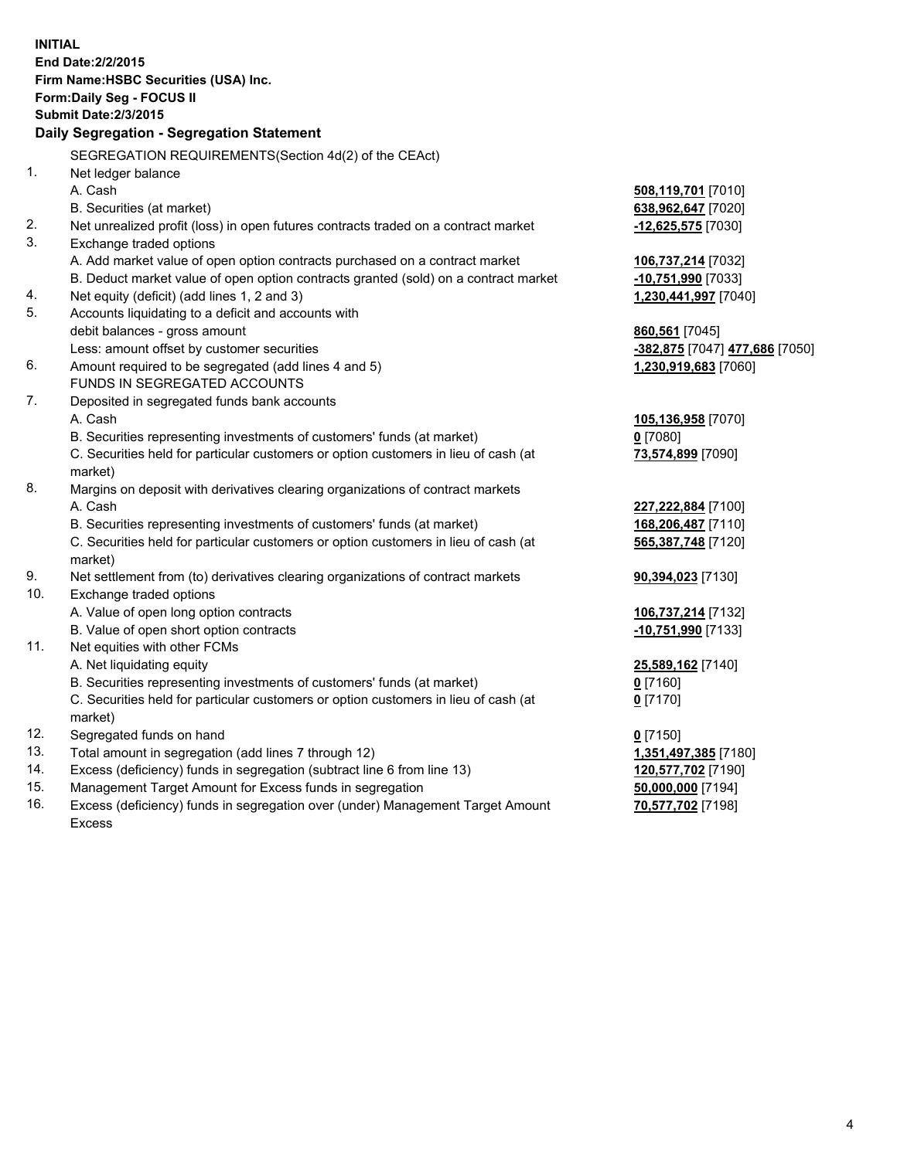| <b>INITIAL</b> | End Date: 2/2/2015<br>Firm Name: HSBC Securities (USA) Inc.<br>Form: Daily Seg - FOCUS II<br><b>Submit Date:2/3/2015</b><br>Daily Segregation - Segregation Statement |                                |
|----------------|-----------------------------------------------------------------------------------------------------------------------------------------------------------------------|--------------------------------|
|                | SEGREGATION REQUIREMENTS(Section 4d(2) of the CEAct)                                                                                                                  |                                |
| 1.             | Net ledger balance                                                                                                                                                    |                                |
|                | A. Cash                                                                                                                                                               | 508,119,701 [7010]             |
|                | B. Securities (at market)                                                                                                                                             | 638,962,647 [7020]             |
| 2.             | Net unrealized profit (loss) in open futures contracts traded on a contract market                                                                                    | $-12,625,575$ [7030]           |
| 3.             | Exchange traded options                                                                                                                                               |                                |
|                | A. Add market value of open option contracts purchased on a contract market                                                                                           | 106,737,214 [7032]             |
|                | B. Deduct market value of open option contracts granted (sold) on a contract market                                                                                   | -10,751,990 [7033]             |
| 4.             | Net equity (deficit) (add lines 1, 2 and 3)                                                                                                                           | 1,230,441,997 [7040]           |
| 5.             | Accounts liquidating to a deficit and accounts with                                                                                                                   |                                |
|                | debit balances - gross amount                                                                                                                                         | 860,561 [7045]                 |
|                | Less: amount offset by customer securities                                                                                                                            | -382,875 [7047] 477,686 [7050] |
| 6.             | Amount required to be segregated (add lines 4 and 5)                                                                                                                  | 1,230,919,683 [7060]           |
|                | FUNDS IN SEGREGATED ACCOUNTS                                                                                                                                          |                                |
| 7.             | Deposited in segregated funds bank accounts                                                                                                                           |                                |
|                | A. Cash                                                                                                                                                               | 105,136,958 [7070]             |
|                | B. Securities representing investments of customers' funds (at market)                                                                                                | $0$ [7080]                     |
|                | C. Securities held for particular customers or option customers in lieu of cash (at                                                                                   | 73,574,899 [7090]              |
|                | market)                                                                                                                                                               |                                |
| 8.             | Margins on deposit with derivatives clearing organizations of contract markets                                                                                        |                                |
|                | A. Cash                                                                                                                                                               | 227,222,884 [7100]             |
|                | B. Securities representing investments of customers' funds (at market)                                                                                                | 168,206,487 [7110]             |
|                | C. Securities held for particular customers or option customers in lieu of cash (at                                                                                   | 565,387,748 [7120]             |
|                | market)                                                                                                                                                               |                                |
| 9.             | Net settlement from (to) derivatives clearing organizations of contract markets                                                                                       | 90,394,023 [7130]              |
| 10.            | Exchange traded options                                                                                                                                               |                                |
|                | A. Value of open long option contracts                                                                                                                                | 106,737,214 [7132]             |
|                | B. Value of open short option contracts                                                                                                                               | $-10,751,990$ [7133]           |
| 11.            | Net equities with other FCMs                                                                                                                                          |                                |
|                | A. Net liquidating equity                                                                                                                                             | 25,589,162 [7140]              |
|                | B. Securities representing investments of customers' funds (at market)                                                                                                | 0 [7160]                       |
|                | C. Securities held for particular customers or option customers in lieu of cash (at                                                                                   | 0 <sup>[7170]</sup>            |
|                | market)                                                                                                                                                               |                                |
| 12.            | Segregated funds on hand                                                                                                                                              | $0$ [7150]                     |
| 13.            | Total amount in segregation (add lines 7 through 12)                                                                                                                  | 1,351,497,385 [7180]           |
| 14.            | Excess (deficiency) funds in segregation (subtract line 6 from line 13)                                                                                               | 120,577,702 [7190]             |
| 15.            | Management Target Amount for Excess funds in segregation                                                                                                              | 50,000,000 [7194]              |
| 16.            | Excess (deficiency) funds in segregation over (under) Management Target Amount                                                                                        | 70,577,702 [7198]              |

Excess